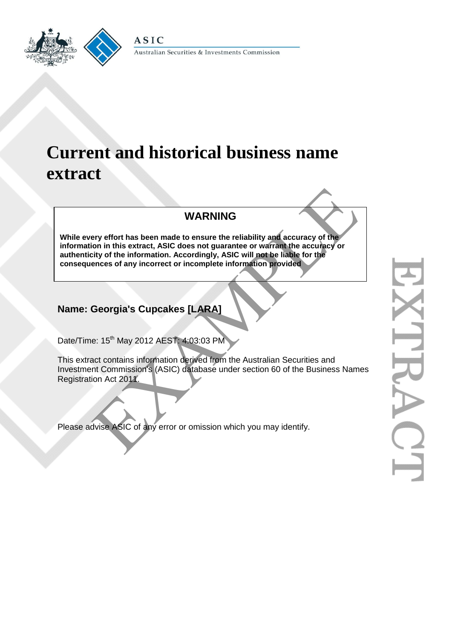

Australian Securities & Investments Commission



# **Current and historical business name extract**

## **WARNING**

**While every effort has been made to ensure the reliability and accuracy of the information in this extract, ASIC does not guarantee or warrant the accuracy or authenticity of the information. Accordingly, ASIC will not be liable for the consequences of any incorrect or incomplete information provided** WARNING<br>
Ery effort has been made to ensure the reliability and accuracy of the<br>
orion in this extract, ASIC does not guarantee or warrant the accuracy or<br>
ences of any incorrect or incomplete information provided<br>
ences o

## **Name: Georgia's Cupcakes [LARA]**

Date/Time: 15<sup>th</sup> May 2012 AEST: 4:03:03 PM

This extract contains information derived from the Australian Securities and Investment Commission's (ASIC) database under section 60 of the Business Names Registration Act 2011.

Please advise ASIC of any error or omission which you may identify.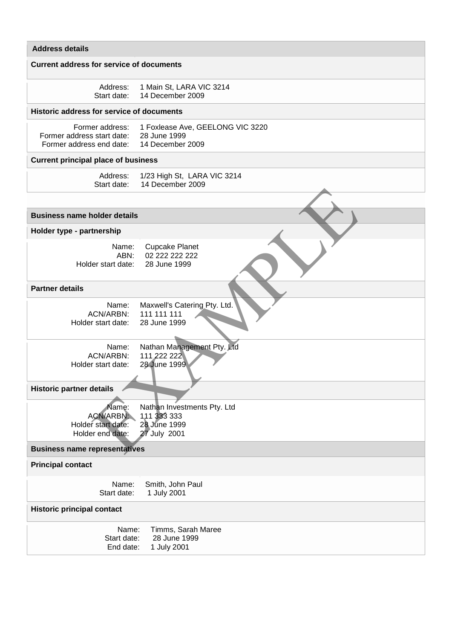#### **Address details**

#### **Current address for service of documents**

| Address:    | 1 Main St, LARA VIC 3214 |
|-------------|--------------------------|
| Start date: | 14 December 2009         |

#### **Historic address for service of documents**

|                                           | Former address: 1 Foxlease Ave, GEELONG VIC 3220 |
|-------------------------------------------|--------------------------------------------------|
| Former address start date: 28 June 1999   |                                                  |
| Former address end date: 14 December 2009 |                                                  |

### **Current principal place of business**

| Address: 1/23 High St, LARA VIC 3214 |
|--------------------------------------|
| Start date: 14 December 2009         |

| <b>Business name holder details</b>                                                                                                        |
|--------------------------------------------------------------------------------------------------------------------------------------------|
|                                                                                                                                            |
|                                                                                                                                            |
| Holder type - partnership                                                                                                                  |
| Name:<br><b>Cupcake Planet</b><br>ABN:<br>02 222 222 222<br>28 June 1999<br>Holder start date:                                             |
| <b>Partner details</b>                                                                                                                     |
| Maxwell's Catering Pty. Ltd.<br>Name:<br>111 111 111<br>ACN/ARBN:<br>28 June 1999<br>Holder start date:                                    |
| Nathan Management Pty. Ltd<br>Name:<br>111 222 222<br><b>ACN/ARBN:</b><br>28 June 1999<br>Holder start date:                               |
| <b>Historic partner details</b>                                                                                                            |
| Name:<br>Nathan Investments Pty. Ltd<br>ACN/ARBN:<br>111 333 333<br>28 June 1999<br>Holder start date:<br>27 July 2001<br>Holder end date: |
| <b>Business name representatives</b>                                                                                                       |
| <b>Principal contact</b>                                                                                                                   |
| Smith, John Paul<br>Name:<br>Start date:<br>1 July 2001                                                                                    |
| <b>Historic principal contact</b>                                                                                                          |
| Name:<br>Timms, Sarah Maree<br>Start date:<br>28 June 1999<br>End date:<br>1 July 2001                                                     |